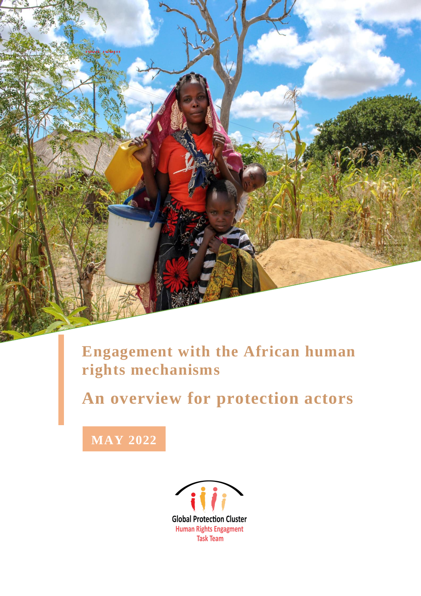**Engagement with the African human rights mechanisms**

**An overview for protection actors**

**MAY 2022**

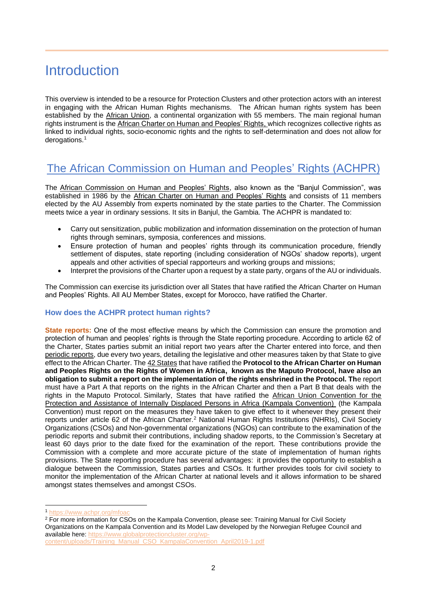# **Introduction**

This overview is intended to be a resource for Protection Clusters and other protection actors with an interest in engaging with the African Human Rights mechanisms. The African human rights system has been established by the [African Union,](https://au.int/en/) a continental organization with 55 members. The main regional human rights instrument is the [African Charter on Human and Peoples' Rights,](https://www.achpr.org/legalinstruments/detail?id=49) which recognizes collective rights as linked to individual rights, socio-economic rights and the rights to self-determination and does not allow for derogations.<sup>1</sup>

### The African Commission on Human and Peoples' Rights (ACHPR)

The [African Commission on Human and Peoples' Rights,](https://www.achpr.org/home) also known as the "Banjul Commission", was established in 1986 by the [African Charter on Human and](https://www.achpr.org/legalinstruments/detail?id=49) Peoples' Rights and consists of 11 members elected by the AU Assembly from experts nominated by the state parties to the Charter. The Commission meets twice a year in ordinary sessions. It sits in Banjul, the Gambia. The ACHPR is mandated to:

- Carry out sensitization, public mobilization and information dissemination on the protection of human rights through seminars, symposia, conferences and missions.
- Ensure protection of human and peoples' rights through its communication procedure, friendly settlement of disputes, state reporting (including consideration of NGOs' shadow reports), urgent appeals and other activities of special rapporteurs and working groups and missions;
- Interpret the provisions of the Charter upon a request by a state party, organs of the AU or individuals.

The Commission can exercise its jurisdiction over all States that have ratified the African Charter on Human and Peoples' Rights. All AU Member States, except for Morocco, have ratified the Charter.

#### **How does the ACHPR protect human rights?**

**State reports:** One of the most effective means by which the Commission can ensure the promotion and protection of human and peoples' rights is through the State reporting procedure. According to article 62 of the Charter, States parties submit an initial report two years after the Charter entered into force, and then [periodic reports,](https://www.achpr.org/statereportsandconcludingobservations) due every two years, detailing the legislative and other measures taken by that State to give effect to the African Charter. Th[e 42 States](https://au.int/sites/default/files/treaties/37077-sl-PROTOCOL%20TO%20THE%20AFRICAN%20CHARTER%20ON%20HUMAN%20AND%20PEOPLE%27S%20RIGHTS%20ON%20THE%20RIGHTS%20OF%20WOMEN%20IN%20AFRICA.pdf) that have ratified the **[Protocol to the African Charter on Human](https://www.maputoprotocol.up.ac.za/images/files/home/Protocol%20to%20the%20African%20Charter%20on%20Human%20and%20Peoples)  [and Peoples Rights on the Rights of Women in Africa,](https://www.maputoprotocol.up.ac.za/images/files/home/Protocol%20to%20the%20African%20Charter%20on%20Human%20and%20Peoples) known as the Maputo Protocol, have also an obligation to submit a report on the implementation of the rights enshrined in the Protocol. Th**e report must have a Part A that reports on the rights in the African Charter and then a Part B that deals with the rights in the Maputo Protocol. Similarly, States that have ratified the [African Union Convention for the](https://au.int/sites/default/files/treaties/36846-treaty-kampala_convention.pdf)  [Protection and Assistance of Internally Displaced Persons in Africa \(Kampala Convention\)](https://au.int/sites/default/files/treaties/36846-treaty-kampala_convention.pdf) (the Kampala Convention) must report on the measures they have taken to give effect to it whenever they present their reports under article 62 of the African Charter.<sup>2</sup> National Human Rights Institutions (NHRIs), Civil Society Organizations (CSOs) and Non-governmental organizations (NGOs) can contribute to the examination of the periodic reports and submit their contributions, including shadow reports, to the Commission's Secretary at least 60 days prior to the date fixed for the examination of the report. These contributions provide the Commission with a complete and more accurate picture of the state of implementation of human rights provisions. The State reporting procedure has several advantages: it provides the opportunity to establish a dialogue between the Commission, States parties and CSOs. It further provides tools for civil society to monitor the implementation of the African Charter at national levels and it allows information to be shared amongst states themselves and amongst CSOs.

<sup>2</sup> For more information for CSOs on the Kampala Convention, please see: Training Manual for Civil Society Organizations on the Kampala Convention and its Model Law developed by the Norwegian Refugee Council and available here: [https://www.globalprotectioncluster.org/wp-](https://www.globalprotectioncluster.org/wp-content/uploads/Training_Manual_CSO_KampalaConvention_April2019-1.pdf)

[content/uploads/Training\\_Manual\\_CSO\\_KampalaConvention\\_April2019-1.pdf](https://www.globalprotectioncluster.org/wp-content/uploads/Training_Manual_CSO_KampalaConvention_April2019-1.pdf)

<sup>1</sup> <https://www.achpr.org/mfoac>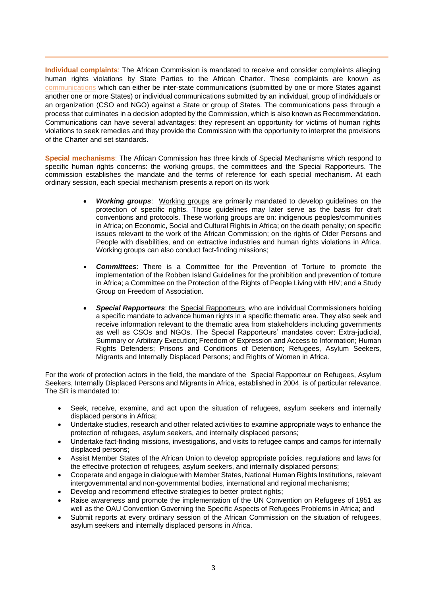**Individual complaints**: The African Commission is mandated to receive and consider complaints alleging human rights violations by State Parties to the African Charter. These complaints are known as [communications](https://www.achpr.org/communicationsprocedure) which can either be inter-state communications (submitted by one or more States against another one or more States) or individual communications submitted by an individual, group of individuals or an organization (CSO and NGO) against a State or group of States. The communications pass through a process that culminates in a decision adopted by the Commission, which is also known as Recommendation. Communications can have several advantages: they represent an opportunity for victims of human rights violations to seek remedies and they provide the Commission with the opportunity to interpret the provisions of the Charter and set standards.

**Special mechanisms**: The African Commission has three kinds of Special Mechanisms which respond to specific human rights concerns: the working groups, the committees and the Special Rapporteurs. The commission establishes the mandate and the terms of reference for each special mechanism. At each ordinary session, each special mechanism presents a report on its work

- *Working groups*: [Working groups](https://www.achpr.org/specialmechanisms) are primarily mandated to develop guidelines on the protection of specific rights. Those guidelines may later serve as the basis for draft conventions and protocols. These working groups are on: indigenous peoples/communities in Africa; on Economic, Social and Cultural Rights in Africa; on the death penalty; on specific issues relevant to the work of the African Commission; on the rights of Older Persons and People with disabilities, and on extractive industries and human rights violations in Africa. Working groups can also conduct fact-finding missions;
- *Committees*: There is a [Committee for the Prevention of Torture](https://www.achpr.org/specialmechanisms/detail?id=7) to promote the implementation of the Robben Island Guidelines for the prohibition and prevention of torture in Africa; a Committee on the Protection of the Rights of People Living with HIV; and a Study Group on Freedom of Association.
- *Special Rapporteurs*: the [Special Rapporteurs,](https://www.achpr.org/specialmechanisms) who are individual Commissioners holding a specific mandate to advance human rights in a specific thematic area. They also seek and receive information relevant to the thematic area from stakeholders including governments as well as CSOs and NGOs. The Special Rapporteurs' mandates cover: Extra-judicial, Summary or Arbitrary Execution; Freedom of Expression and Access to Information; Human Rights Defenders; Prisons and Conditions of Detention; Refugees, Asylum Seekers, Migrants and Internally Displaced Persons; and Rights of Women in Africa.

For the work of protection actors in the field, the mandate of the Special Rapporteur on Refugees, Asylum Seekers, Internally Displaced Persons and Migrants in Africa, established in 2004, is of particular relevance. The SR is mandated to:

- Seek, receive, examine, and act upon the situation of refugees, asylum seekers and internally displaced persons in Africa;
- Undertake studies, research and other related activities to examine appropriate ways to enhance the protection of refugees, asylum seekers, and internally displaced persons;
- Undertake fact-finding missions, investigations, and visits to refugee camps and camps for internally displaced persons;
- Assist Member States of the African Union to develop appropriate policies, regulations and laws for the effective protection of refugees, asylum seekers, and internally displaced persons;
- Cooperate and engage in dialogue with Member States, National Human Rights Institutions, relevant intergovernmental and non-governmental bodies, international and regional mechanisms;
- Develop and recommend effective strategies to better protect rights;
- Raise awareness and promote the implementation of the UN Convention on Refugees of 1951 as well as the OAU Convention Governing the Specific Aspects of Refugees Problems in Africa; and
- Submit reports at every ordinary session of the African Commission on the situation of refugees. asylum seekers and internally displaced persons in Africa.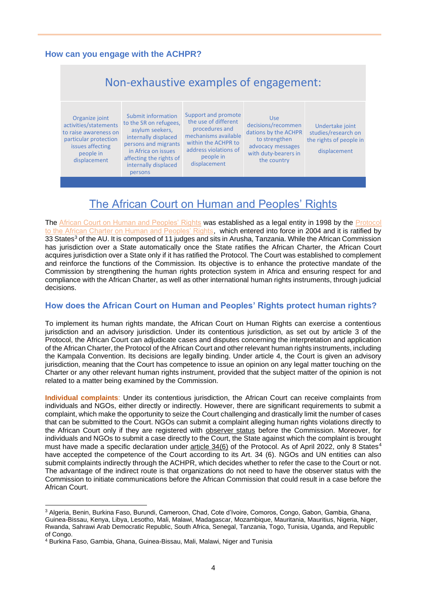#### **How can you engage with the ACHPR?**



### The African Court on Human and Peoples' Rights

The [African Court on Human and Peoples' Rights](https://www.african-court.org/wpafc/) was established as a legal entity in 1998 by the Protocol [to the African Charter on Human and Peoples' Rights,](https://au.int/en/treaties/protocol-african-charter-human-and-peoples-rights-establishment-african-court-human-and) which entered into force in 2004 and it is ratified by 33 States<sup>3</sup> of the AU. It is composed of 11 judges and sits in Arusha, Tanzania. While the African Commission has jurisdiction over a State automatically once the State ratifies the African Charter, the African Court acquires jurisdiction over a State only if it has ratified the Protocol. The Court was established to complement and reinforce the functions of the Commission. Its objective is to enhance the protective mandate of the Commission by strengthening the human rights protection system in Africa and ensuring respect for and compliance with the African Charter, as well as other international human rights instruments, through judicial decisions.

### **How does the African Court on Human and Peoples' Rights protect human rights?**

To implement its human rights mandate, the African Court on Human Rights can exercise a contentious jurisdiction and an advisory jurisdiction. Under its contentious jurisdiction, as set out by article 3 of the Protocol, the African Court can adjudicate cases and disputes concerning the interpretation and application of the African Charter, the Protocol of the African Court and other relevant human rights instruments, including the Kampala Convention. Its decisions are legally binding. Under article 4, the Court is given an advisory jurisdiction, meaning that the Court has competence to issue an opinion on any legal matter touching on the Charter or any other relevant human rights instrument, provided that the subject matter of the opinion is not related to a matter being examined by the Commission.

**Individual complaints**: Under its contentious jurisdiction, the African Court can receive complaints from individuals and NGOs, either directly or indirectly. However, there are significant requirements to submit a complaint, which make the opportunity to seize the Court challenging and drastically limit the number of cases that can be submitted to the Court. NGOs can submit a complaint alleging human rights violations directly to the African Court only if they are registered with [observer status](https://www.achpr.org/ngos) before the Commission. Moreover, for individuals and NGOs to submit a case directly to the Court, the State against which the complaint is brought must have made a specific declaration under [article 34\(6\)](https://www.african-court.org/wpafc/declarations/) of the Protocol. As of April 2022, only 8 States<sup>4</sup> have accepted the competence of the Court according to its Art. 34 (6). NGOs and UN entities can also submit complaints indirectly through the ACHPR, which decides whether to refer the case to the Court or not. The advantage of the indirect route is that organizations do not need to have the observer status with the Commission to initiate communications before the African Commission that could result in a case before the African Court.

<sup>3</sup> Algeria, Benin, Burkina Faso, Burundi, Cameroon, Chad, Cote d'Ivoire, Comoros, Congo, Gabon, Gambia, Ghana, Guinea-Bissau, Kenya, Libya, Lesotho, Mali, Malawi, Madagascar, Mozambique, Mauritania, Mauritius, Nigeria, Niger, Rwanda, Sahrawi Arab Democratic Republic, South Africa, Senegal, Tanzania, Togo, Tunisia, Uganda, and Republic of Congo.

<sup>4</sup> Burkina Faso, Gambia, Ghana, Guinea-Bissau, Mali, Malawi, Niger and Tunisia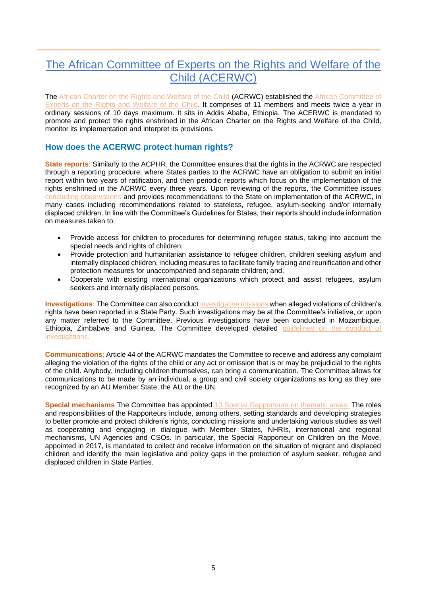### The African Committee of Experts on the Rights and Welfare of the Child (ACERWC)

The [African Charter on the Rights and Welfare of the Child](https://au.int/en/treaties/african-charter-rights-and-welfare-child) (ACRWC) established the African Committee of [Experts on the Rights and Welfare of the Child.](https://www.acerwc.africa/) It comprises of 11 members and meets twice a year in ordinary sessions of 10 days maximum. It sits in Addis Ababa, Ethiopia. The ACERWC is mandated to promote and protect the rights enshrined in the African Charter on the Rights and Welfare of the Child, monitor its implementation and interpret its provisions.

### **How does the ACERWC protect human rights?**

**State reports**: Similarly to the ACPHR, the Committee ensures that the rights in the ACRWC are respected through a reporting procedure, where States parties to the ACRWC have an obligation to submit an initial report within two years of ratification, and then periodic reports which focus on the implementation of the rights enshrined in the ACRWC every three years. Upon reviewing of the reports, the Committee issues [concluding observations](https://www.acerwc.africa/concluding-observations/) and provides recommendations to the State on implementation of the ACRWC, in many cases including recommendations related to stateless, refugee, asylum-seeking and/or internally displaced children. In line with the Committee's Guidelines for States, their reports should include information on measures taken to:

- Provide access for children to procedures for determining refugee status, taking into account the special needs and rights of children;
- Provide protection and humanitarian assistance to refugee children, children seeking asylum and internally displaced children, including measures to facilitate family tracing and reunification and other protection measures for unaccompanied and separate children; and,
- Cooperate with existing international organizations which protect and assist refugees, asylum seekers and internally displaced persons.

**Investigations:** The Committee can also conduct [investigative missions](https://www.acerwc.africa/follow-up-missions/) when alleged violations of children's rights have been reported in a State Party. Such investigations may be at the Committee's initiative, or upon any matter referred to the Committee. Previous investigations have been conducted in Mozambique, Ethiopia, Zimbabwe and Guinea. The Committee developed detailed [guidelines on the conduct of](https://www.acerwc.africa/wp-content/uploads/2018/07/ACERWC_Guidelines_on_Investigation.pdf)  [investigations.](https://www.acerwc.africa/wp-content/uploads/2018/07/ACERWC_Guidelines_on_Investigation.pdf)

**Communications**: Article 44 of the ACRWC mandates the Committee to receive and address any complaint alleging the violation of the rights of the child or any act or omission that is or may be prejudicial to the rights of the child. Anybody, including children themselves, can bring a communication. The Committee allows for communications to be made by an individual, a group and civil society organizations as long as they are recognized by an AU Member State, the AU or the UN.

**Special mechanisms** The Committee has appointed [10 Special Rapporteurs on thematic areas.](https://www.acerwc.africa/special-rapporeurs/) The roles and responsibilities of the Rapporteurs include, among others, setting standards and developing strategies to better promote and protect children's rights, conducting missions and undertaking various studies as well as cooperating and engaging in dialogue with Member States, NHRIs, international and regional mechanisms, UN Agencies and CSOs. In particular, the Special Rapporteur on Children on the Move, appointed in 2017, is mandated to collect and receive information on the situation of migrant and displaced children and identify the main legislative and policy gaps in the protection of asylum seeker, refugee and displaced children in State Parties.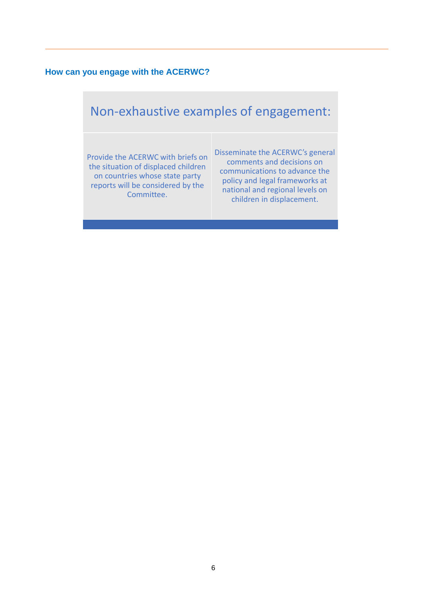#### **How can you engage with the ACERWC?**

# Non-exhaustive examples of engagement:

Provide the ACERWC with briefs on the situation of displaced children on countries whose state party reports will be considered by the Committee.

Disseminate the ACERWC's general comments and decisions on communications to advance the policy and legal frameworks at national and regional levels on children in displacement.